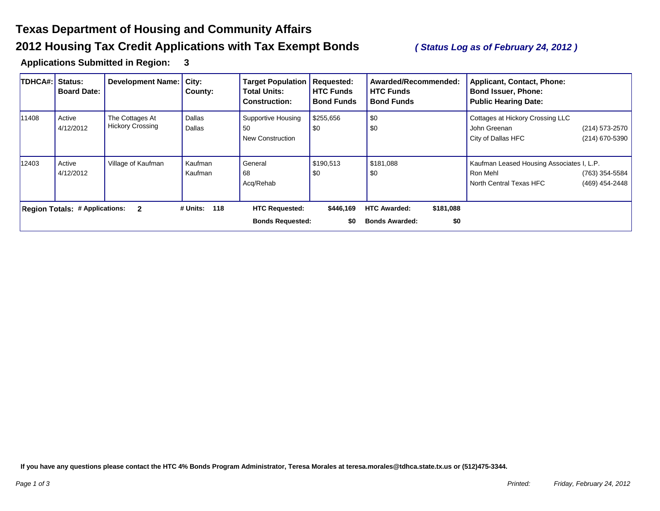## **Texas Department of Housing and Community Affairs 2012 Housing Tax Credit Applications with Tax Exempt Bonds** *( Status Log as of February 24, 2012 )*

**Applications Submitted in Region: 3** 

| <b>TDHCA#:</b> | Status:<br><b>Board Date:</b>         | <b>Development Name:</b>                   | City:<br>County:   | <b>Target Population   Requested:</b><br><b>Total Units:</b><br><b>Construction:</b> | <b>HTC Funds</b><br><b>Bond Funds</b> | Awarded/Recommended:<br><b>HTC Funds</b><br><b>Bond Funds</b> | Applicant, Contact, Phone:<br><b>Bond Issuer, Phone:</b><br><b>Public Hearing Date:</b>                              |
|----------------|---------------------------------------|--------------------------------------------|--------------------|--------------------------------------------------------------------------------------|---------------------------------------|---------------------------------------------------------------|----------------------------------------------------------------------------------------------------------------------|
| 11408          | Active<br>4/12/2012                   | The Cottages At<br><b>Hickory Crossing</b> | Dallas<br>Dallas   | Supportive Housing<br>50<br><b>New Construction</b>                                  | \$255,656<br>\$0                      | \$0<br>\$0                                                    | Cottages at Hickory Crossing LLC<br>(214) 573-2570<br>John Greenan<br>(214) 670-5390<br>City of Dallas HFC           |
| 12403          | Active<br>4/12/2012                   | Village of Kaufman                         | Kaufman<br>Kaufman | General<br>68<br>Acq/Rehab                                                           | \$190,513<br>\$0                      | \$181,088<br>\$0                                              | Kaufman Leased Housing Associates I, L.P.<br>(763) 354-5584<br>Ron Mehl<br>North Central Texas HFC<br>(469) 454-2448 |
|                | <b>Region Totals: # Applications:</b> | $\overline{\mathbf{2}}$                    | 118<br># Units:    | <b>HTC Requested:</b><br><b>Bonds Requested:</b>                                     | \$446,169<br>\$0                      | <b>HTC Awarded:</b><br>\$181,088<br><b>Bonds Awarded:</b>     | \$0                                                                                                                  |

**If you have any questions please contact the HTC 4% Bonds Program Administrator, Teresa Morales at teresa.morales@tdhca.state.tx.us or (512)475-3344.**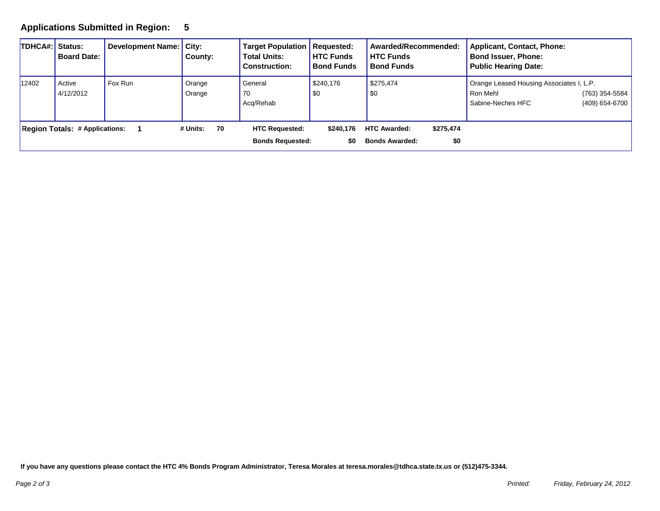## **Applications Submitted in Region: 5**

| <b>TDHCA#: Status:</b>                | <b>Board Date:</b>  | Development Name: City: | County:          | <b>Target Population   Requested:</b><br><b>Total Units:</b><br><b>Construction:</b> | <b>HTC Funds</b><br><b>Bond Funds</b> | Awarded/Recommended:<br><b>HTC Funds</b><br><b>Bond Funds</b> |                  | <b>Applicant, Contact, Phone:</b><br><b>Bond Issuer, Phone:</b><br><b>Public Hearing Date:</b> |                                  |
|---------------------------------------|---------------------|-------------------------|------------------|--------------------------------------------------------------------------------------|---------------------------------------|---------------------------------------------------------------|------------------|------------------------------------------------------------------------------------------------|----------------------------------|
| 12402                                 | Active<br>4/12/2012 | Fox Run                 | Orange<br>Orange | General<br>70<br>Acg/Rehab                                                           | \$240,176<br>\$0                      | \$275,474<br>\$0                                              |                  | Orange Leased Housing Associates I, L.P.<br>Ron Mehl<br>Sabine-Neches HFC                      | (763) 354-5584<br>(409) 654-6700 |
| <b>Region Totals: # Applications:</b> |                     |                         | # Units:<br>70   | <b>HTC Requested:</b><br><b>Bonds Requested:</b>                                     | \$240.176<br>\$0                      | <b>HTC Awarded:</b><br><b>Bonds Awarded:</b>                  | \$275,474<br>\$0 |                                                                                                |                                  |

**If you have any questions please contact the HTC 4% Bonds Program Administrator, Teresa Morales at teresa.morales@tdhca.state.tx.us or (512)475-3344.**